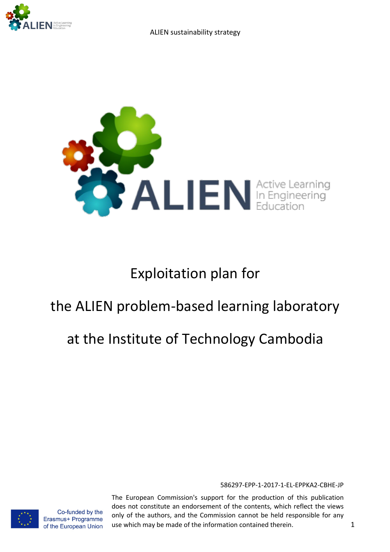



# Exploitation plan for

# the ALIEN problem-based learning laboratory

# at the Institute of Technology Cambodia

586297-EPP-1-2017-1-EL-EPPKA2-CBHE-JP

Co-funded by the Erasmus+ Programme of the European Union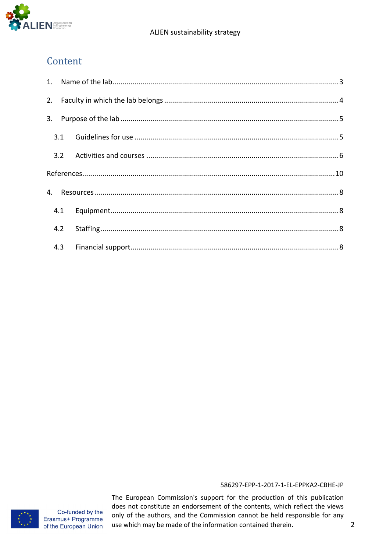

# Content

|  | 4.1 |  |  |
|--|-----|--|--|
|  | 4.2 |  |  |
|  |     |  |  |

### 586297-EPP-1-2017-1-EL-EPPKA2-CBHE-JP

Co-funded by the Erasmus+ Programme of the European Union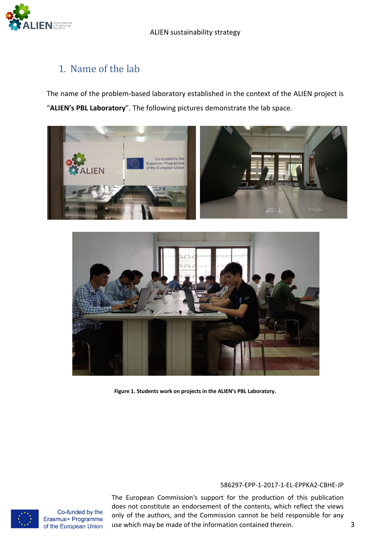

# 1. Name of the lab

The name of the problem-based laboratory established in the context of the ALIEN project is "**ALIEN's PBL Laboratory**". The following pictures demonstrate the lab space.





**Figure 1. Students work on projects in the ALIEN's PBL Laboratory.**

### 586297-EPP-1-2017-1-EL-EPPKA2-CBHE-JP

The European Commission's support for the production of this publication does not constitute an endorsement of the contents, which reflect the views only of the authors, and the Commission cannot be held responsible for any use which may be made of the information contained therein. 3



Co-funded by the Erasmus+ Programme of the European Union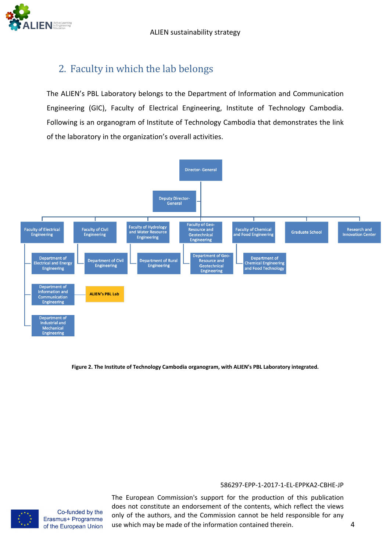# 2. Faculty in which the lab belongs

The ALIEN's PBL Laboratory belongs to the Department of Information and Communication Engineering (GIC), Faculty of Electrical Engineering, Institute of Technology Cambodia. Following is an organogram of Institute of Technology Cambodia that demonstrates the link of the laboratory in the organization's overall activities.



**Figure 2. The Institute of Technology Cambodia organogram, with ALIEN's PBL Laboratory integrated.**

#### 586297-EPP-1-2017-1-EL-EPPKA2-CBHE-JP

Co-funded by the Erasmus+ Programme of the European Union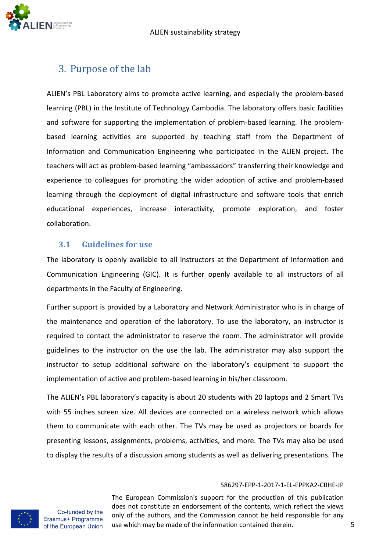

# 3. Purpose of the lab

ALIEN's PBL Laboratory aims to promote active learning, and especially the problem-based learning (PBL) in the Institute of Technology Cambodia. The laboratory offers basic facilities and software for supporting the implementation of problem-based learning. The problembased learning activities are supported by teaching staff from the Department of Information and Communication Engineering who participated in the ALIEN project. The teachers will act as problem-based learning "ambassadors" transferring their knowledge and experience to colleagues for promoting the wider adoption of active and problem-based learning through the deployment of digital infrastructure and software tools that enrich educational experiences, increase interactivity, promote exploration, and foster collaboration.

## **3.1 Guidelines** for use

The laboratory is openly available to all instructors at the Department of Information and Communication Engineering (GIC). It is further openly available to all instructors of all departments in the Faculty of Engineering.

Further support is provided by a Laboratory and Network Administrator who is in charge of the maintenance and operation of the laboratory. To use the laboratory, an instructor is required to contact the administrator to reserve the room. The administrator will provide guidelines to the instructor on the use the lab. The administrator may also support the instructor to setup additional software on the laboratory's equipment to support the implementation of active and problem-based learning in his/her classroom.

The ALIEN's PBL laboratory's capacity is about 20 students with 20 laptops and 2 Smart TVs with 55 inches screen size. All devices are connected on a wireless network which allows them to communicate with each other. The TVs may be used as projectors or boards for presenting lessons, assignments, problems, activities, and more. The TVs may also be used to display the results of a discussion among students as well as delivering presentations. The

#### 586297-EPP-1-2017-1-EL-EPPKA2-CBHE-JP



Co-funded by the Erasmus+ Programme of the European Union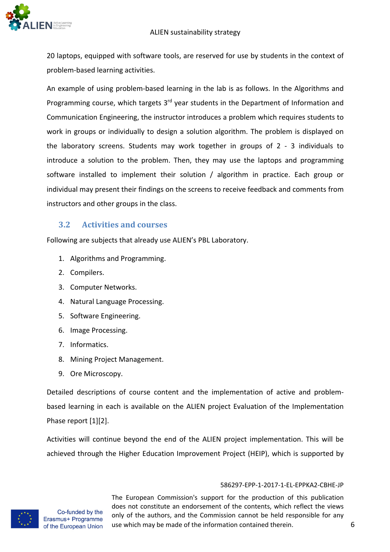### ALIEN sustainability strategy



20 laptops, equipped with software tools, are reserved for use by students in the context of problem-based learning activities.

An example of using problem-based learning in the lab is as follows. In the Algorithms and Programming course, which targets 3<sup>rd</sup> year students in the Department of Information and Communication Engineering, the instructor introduces a problem which requires students to work in groups or individually to design a solution algorithm. The problem is displayed on the laboratory screens. Students may work together in groups of 2 - 3 individuals to introduce a solution to the problem. Then, they may use the laptops and programming software installed to implement their solution / algorithm in practice. Each group or individual may present their findings on the screens to receive feedback and comments from instructors and other groups in the class.

## **3.2 Activities and courses**

Following are subjects that already use ALIEN's PBL Laboratory.

- 1. Algorithms and Programming.
- 2. Compilers.
- 3. Computer Networks.
- 4. Natural Language Processing.
- 5. Software Engineering.
- 6. Image Processing.
- 7. Informatics.
- 8. Mining Project Management.
- 9. Ore Microscopy.

Detailed descriptions of course content and the implementation of active and problembased learning in each is available on the ALIEN project Evaluation of the Implementation Phase report [1][2].

Activities will continue beyond the end of the ALIEN project implementation. This will be achieved through the Higher Education Improvement Project (HEIP), which is supported by

#### 586297-EPP-1-2017-1-EL-EPPKA2-CBHE-JP



Co-funded by the Erasmus+ Programme of the European Union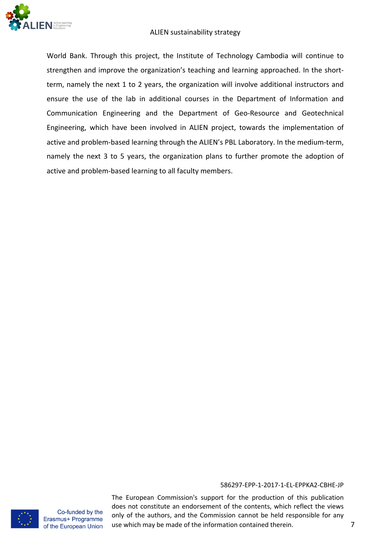

#### ALIEN sustainability strategy

World Bank. Through this project, the Institute of Technology Cambodia will continue to strengthen and improve the organization's teaching and learning approached. In the shortterm, namely the next 1 to 2 years, the organization will involve additional instructors and ensure the use of the lab in additional courses in the Department of Information and Communication Engineering and the Department of Geo-Resource and Geotechnical Engineering, which have been involved in ALIEN project, towards the implementation of active and problem-based learning through the ALIEN's PBL Laboratory. In the medium-term, namely the next 3 to 5 years, the organization plans to further promote the adoption of active and problem-based learning to all faculty members.

#### 586297-EPP-1-2017-1-EL-EPPKA2-CBHE-JP

Co-funded by the Erasmus+ Programme of the European Union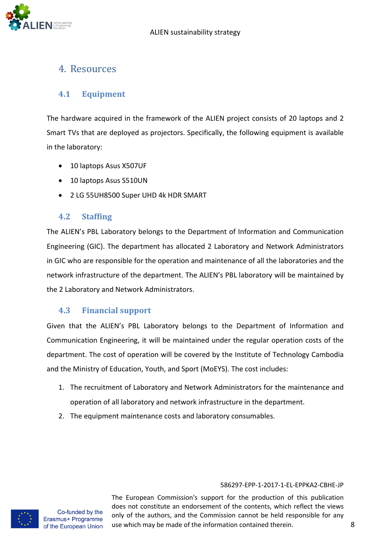

# 4. Resources

## **4.1 Equipment**

The hardware acquired in the framework of the ALIEN project consists of 20 laptops and 2 Smart TVs that are deployed as projectors. Specifically, the following equipment is available in the laboratory:

- 10 laptops Asus X507UF
- 10 laptops Asus S510UN
- 2 LG 55UH8500 Super UHD 4k HDR SMART

## **4.2 Staffing**

The ALIEN's PBL Laboratory belongs to the Department of Information and Communication Engineering (GIC). The department has allocated 2 Laboratory and Network Administrators in GIC who are responsible for the operation and maintenance of all the laboratories and the network infrastructure of the department. The ALIEN's PBL laboratory will be maintained by the 2 Laboratory and Network Administrators.

## **4.3 Financial support**

Given that the ALIEN's PBL Laboratory belongs to the Department of Information and Communication Engineering, it will be maintained under the regular operation costs of the department. The cost of operation will be covered by the Institute of Technology Cambodia and the Ministry of Education, Youth, and Sport (MoEYS). The cost includes:

- 1. The recruitment of Laboratory and Network Administrators for the maintenance and operation of all laboratory and network infrastructure in the department.
- 2. The equipment maintenance costs and laboratory consumables.

### 586297-EPP-1-2017-1-EL-EPPKA2-CBHE-JP

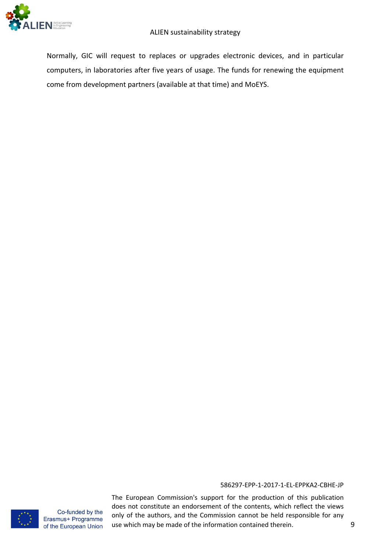

Normally, GIC will request to replaces or upgrades electronic devices, and in particular computers, in laboratories after five years of usage. The funds for renewing the equipment come from development partners (available at that time) and MoEYS.

#### 586297-EPP-1-2017-1-EL-EPPKA2-CBHE-JP



Co-funded by the Erasmus+ Programme of the European Union